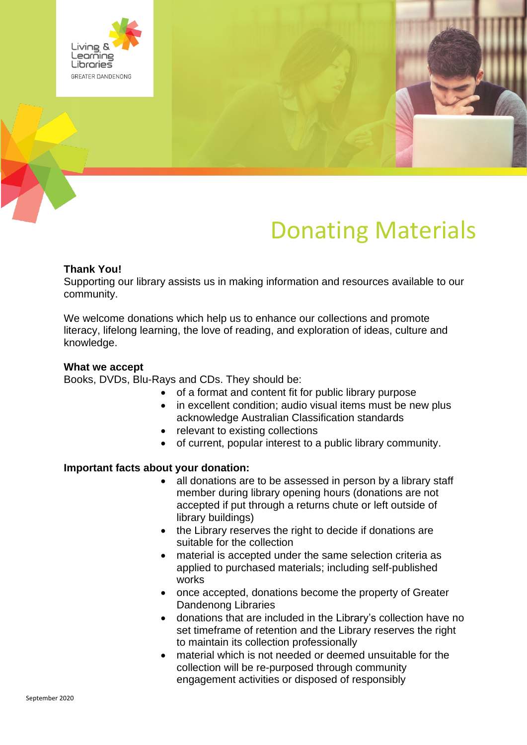

# Donating Materials

## **Thank You!**

Supporting our library assists us in making information and resources available to our community.

We welcome donations which help us to enhance our collections and promote literacy, lifelong learning, the love of reading, and exploration of ideas, culture and knowledge.

#### **What we accept**

Books, DVDs, Blu-Rays and CDs. They should be:

- of a format and content fit for public library purpose
- in excellent condition; audio visual items must be new plus acknowledge Australian Classification standards
- relevant to existing collections
- of current, popular interest to a public library community.

#### **Important facts about your donation:**

- all donations are to be assessed in person by a library staff member during library opening hours (donations are not accepted if put through a returns chute or left outside of library buildings)
- the Library reserves the right to decide if donations are suitable for the collection
- material is accepted under the same selection criteria as applied to purchased materials; including self-published works
- once accepted, donations become the property of Greater Dandenong Libraries
- donations that are included in the Library's collection have no set timeframe of retention and the Library reserves the right to maintain its collection professionally
- material which is not needed or deemed unsuitable for the collection will be re-purposed through community engagement activities or disposed of responsibly